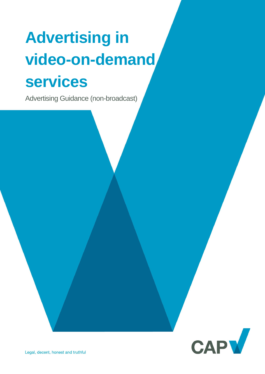# **Advertising in video-on-demand services**

Advertising Guidance (non-broadcast)

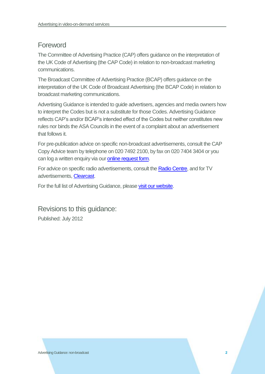# Foreword

The Committee of Advertising Practice (CAP) offers guidance on the interpretation of the UK Code of Advertising (the CAP Code) in relation to non-broadcast marketing communications.

The Broadcast Committee of Advertising Practice (BCAP) offers guidance on the interpretation of the UK Code of Broadcast Advertising (the BCAP Code) in relation to broadcast marketing communications.

Advertising Guidance is intended to guide advertisers, agencies and media owners how to interpret the Codes but is not a substitute for those Codes. Advertising Guidance reflects CAP's and/or BCAP's intended effect of the Codes but neither constitutes new rules nor binds the ASA Councils in the event of a complaint about an advertisement that follows it.

For pre-publication advice on specific non-broadcast advertisements, consult the CAP Copy Advice team by telephone on 020 7492 2100, by fax on 020 7404 3404 or you can log a written enquiry via our [online request form.](http://www.cap.org.uk/Advice-Training-on-the-rules/Bespoke-Copy-Advice.aspx)

For advice on specific radio advertisements, consult th[e Radio Centre,](http://www.racc.co.uk/) and for TV advertisements, [Clearcast.](http://www.clearcast.co.uk/)

For the full list of Advertising Guidance, please [visit our website.](http://www.cap.org.uk/Advice-Training-on-the-rules/Help-Notes.aspx)

Revisions to this guidance: Published: July 2012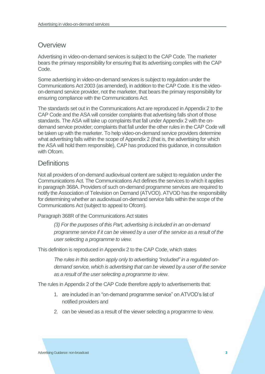## **Overview**

Advertising in video-on-demand services is subject to the CAP Code. The marketer bears the primary responsibility for ensuring that its advertising complies with the CAP Code.

Some advertising in video-on-demand services is subject to regulation under the Communications Act 2003 (as amended), in addition to the CAP Code. It is the videoon-demand service provider, not the marketer, that bears the primary responsibility for ensuring compliance with the Communications Act.

The standards set out in the Communications Act are reproduced in Appendix 2 to the CAP Code and the ASA will consider complaints that advertising falls short of those standards. The ASA will take up complaints that fall under Appendix 2 with the ondemand service provider; complaints that fall under the other rules in the CAP Code will be taken up with the marketer. To help video-on-demand service providers determine what advertising falls within the scope of Appendix 2 (that is, the advertising for which the ASA will hold them responsible), CAP has produced this guidance, in consultation with Ofcom.

#### **Definitions**

Not all providers of on-demand audiovisual content are subject to regulation under the Communications Act. The Communications Act defines the services to which it applies in paragraph 368A. Providers of such on-demand programme services are required to notify the Association of Television on Demand (ATVOD). ATVOD has the responsibility for determining whether an audiovisual on-demand service falls within the scope of the Communications Act (subject to appeal to Ofcom).

Paragraph 368R of the Communications Act states

*(3) For the purposes of this Part, advertising is included in an on-demand programme service if it can be viewed by a user of the service as a result of the user selecting a programme to view.*

This definition is reproduced in Appendix 2 to the CAP Code, which states

*The rules in this section apply only to advertising "included" in a regulated ondemand service, which is advertising that can be viewed by a user of the service as a result of the user selecting a programme to view.*

The rules in Appendix 2 of the CAP Code therefore apply to advertisements that:

- 1. are included in an "on-demand programme service" on ATVOD's list of notified providers and
- 2. can be viewed as a result of the viewer selecting a programme to view.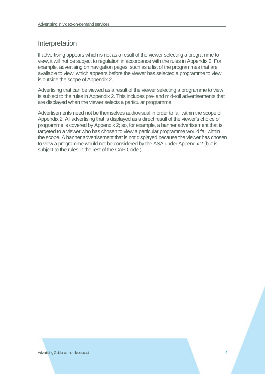# Interpretation

If advertising appears which is not as a result of the viewer selecting a programme to view, it will not be subject to regulation in accordance with the rules in Appendix 2. For example, advertising on navigation pages, such as a list of the programmes that are available to view, which appears before the viewer has selected a programme to view, is outside the scope of Appendix 2.

Advertising that can be viewed as a result of the viewer selecting a programme to view is subject to the rules in Appendix 2. This includes pre- and mid-roll advertisements that are displayed when the viewer selects a particular programme.

Advertisements need not be themselves audiovisual in order to fall within the scope of Appendix 2. All advertising that is displayed as a direct result of the viewer's choice of programme is covered by Appendix 2; so, for example, a banner advertisement that is targeted to a viewer who has chosen to view a particular programme would fall within the scope. A banner advertisement that is not displayed because the viewer has chosen to view a programme would not be considered by the ASA under Appendix 2 (but is subject to the rules in the rest of the CAP Code.)